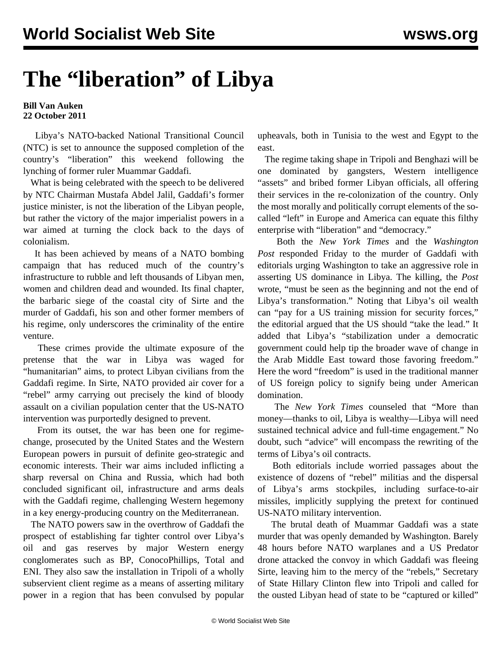## **The "liberation" of Libya**

## **Bill Van Auken 22 October 2011**

 Libya's NATO-backed National Transitional Council (NTC) is set to announce the supposed completion of the country's "liberation" this weekend following the lynching of former ruler Muammar Gaddafi.

 What is being celebrated with the speech to be delivered by NTC Chairman Mustafa Abdel Jalil, Gaddafi's former justice minister, is not the liberation of the Libyan people, but rather the victory of the major imperialist powers in a war aimed at turning the clock back to the days of colonialism.

 It has been achieved by means of a NATO bombing campaign that has reduced much of the country's infrastructure to rubble and left thousands of Libyan men, women and children dead and wounded. Its final chapter, the barbaric siege of the coastal city of Sirte and the murder of Gaddafi, his son and other former members of his regime, only underscores the criminality of the entire venture.

 These crimes provide the ultimate exposure of the pretense that the war in Libya was waged for "humanitarian" aims, to protect Libyan civilians from the Gaddafi regime. In Sirte, NATO provided air cover for a "rebel" army carrying out precisely the kind of bloody assault on a civilian population center that the US-NATO intervention was purportedly designed to prevent.

 From its outset, the war has been one for regimechange, prosecuted by the United States and the Western European powers in pursuit of definite geo-strategic and economic interests. Their war aims included inflicting a sharp reversal on China and Russia, which had both concluded significant oil, infrastructure and arms deals with the Gaddafi regime, challenging Western hegemony in a key energy-producing country on the Mediterranean.

 The NATO powers saw in the overthrow of Gaddafi the prospect of establishing far tighter control over Libya's oil and gas reserves by major Western energy conglomerates such as BP, ConocoPhillips, Total and ENI. They also saw the installation in Tripoli of a wholly subservient client regime as a means of asserting military power in a region that has been convulsed by popular

upheavals, both in Tunisia to the west and Egypt to the east.

 The regime taking shape in Tripoli and Benghazi will be one dominated by gangsters, Western intelligence "assets" and bribed former Libyan officials, all offering their services in the re-colonization of the country. Only the most morally and politically corrupt elements of the socalled "left" in Europe and America can equate this filthy enterprise with "liberation" and "democracy."

 Both the *New York Times* and the *Washington Post* responded Friday to the murder of Gaddafi with editorials urging Washington to take an aggressive role in asserting US dominance in Libya. The killing, the *Post* wrote, "must be seen as the beginning and not the end of Libya's transformation." Noting that Libya's oil wealth can "pay for a US training mission for security forces," the editorial argued that the US should "take the lead." It added that Libya's "stabilization under a democratic government could help tip the broader wave of change in the Arab Middle East toward those favoring freedom." Here the word "freedom" is used in the traditional manner of US foreign policy to signify being under American domination.

 The *New York Times* counseled that "More than money—thanks to oil, Libya is wealthy—Libya will need sustained technical advice and full-time engagement." No doubt, such "advice" will encompass the rewriting of the terms of Libya's oil contracts.

 Both editorials include worried passages about the existence of dozens of "rebel" militias and the dispersal of Libya's arms stockpiles, including surface-to-air missiles, implicitly supplying the pretext for continued US-NATO military intervention.

 The brutal death of Muammar Gaddafi was a state murder that was openly demanded by Washington. Barely 48 hours before NATO warplanes and a US Predator drone attacked the convoy in which Gaddafi was fleeing Sirte, leaving him to the mercy of the "rebels," Secretary of State Hillary Clinton flew into Tripoli and called for the ousted Libyan head of state to be "captured or killed"